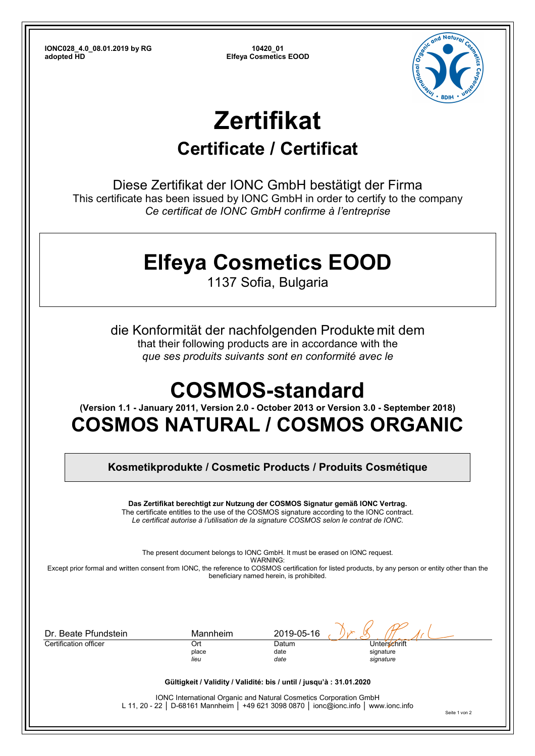**IONC028\_4.0\_08.01.2019 by RG 10420\_01** 

**Elfeya Cosmetics EOOD** 



# **Zertifikat**

### **Certificate / Certificat**

Diese Zertifikat der IONC GmbH bestätigt der Firma This certificate has been issued by IONC GmbH in order to certify to the company *Ce certificat de IONC GmbH confirme à l'entreprise*

# **Elfeya Cosmetics EOOD**

1137 Sofia, Bulgaria

die Konformität der nachfolgenden Produkte mit dem that their following products are in accordance with the *que ses produits suivants sont en conformité avec le*

# **COSMOS-standard**

**(Version 1.1 - January 2011, Version 2.0 - October 2013 or Version 3.0 - September 2018)** 

### **COSMOS NATURAL / COSMOS ORGANIC**

**Kosmetikprodukte / Cosmetic Products / Produits Cosmétique** 

**Das Zertifikat berechtigt zur Nutzung der COSMOS Signatur gemäß IONC Vertrag.**  The certificate entitles to the use of the COSMOS signature according to the IONC contract. *Le certificat autorise à l'utilisation de la signature COSMOS selon le contrat de IONC.* 

The present document belongs to IONC GmbH. It must be erased on IONC request. WARNING: Except prior formal and written consent from IONC, the reference to COSMOS certification for listed products, by any person or entity other than the beneficiary named herein, is prohibited.

| Dr. Beate Pfundstein                                                 | Mannheim             | 2019-05-16            |                                        |  |  |  |  |
|----------------------------------------------------------------------|----------------------|-----------------------|----------------------------------------|--|--|--|--|
| Certification officer                                                | Ort<br>place<br>lieu | Datum<br>date<br>date | Unterschrift<br>signature<br>signature |  |  |  |  |
| Gültigkeit / Validity / Validité: bis / until / jusqu'à : 31.01.2020 |                      |                       |                                        |  |  |  |  |

IONC International Organic and Natural Cosmetics Corporation GmbH L 11, 20 - 22 │ D-68161 Mannheim │ +49 621 3098 0870 │ ionc@ionc.info │ www.ionc.info